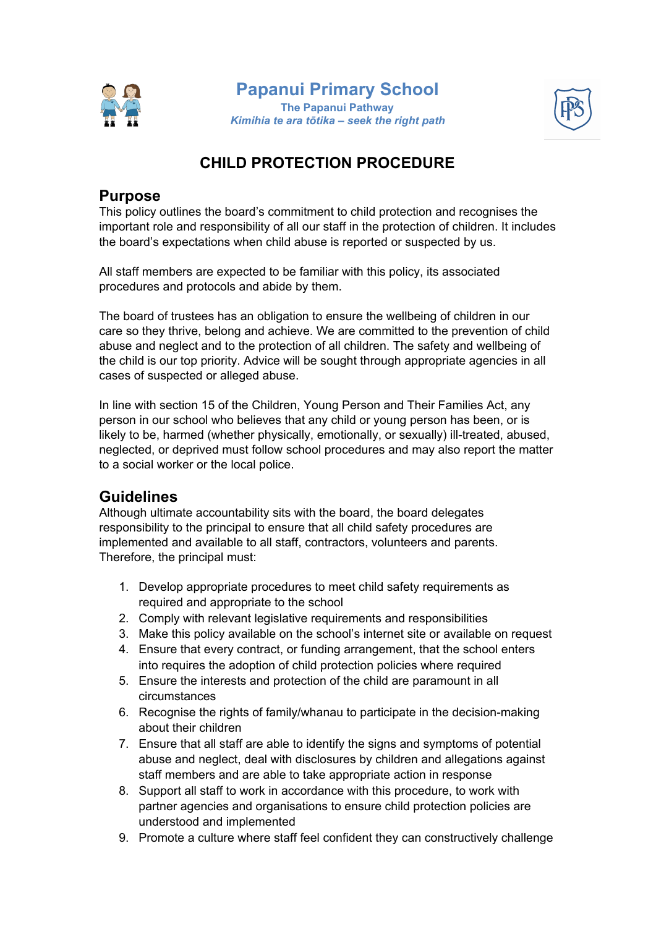

### **Papanui Primary School The Papanui Pathway** *Kimihia te ara tōtika – seek the right path*



# **CHILD PROTECTION PROCEDURE**

### **Purpose**

This policy outlines the board's commitment to child protection and recognises the important role and responsibility of all our staff in the protection of children. It includes the board's expectations when child abuse is reported or suspected by us.

All staff members are expected to be familiar with this policy, its associated procedures and protocols and abide by them.

The board of trustees has an obligation to ensure the wellbeing of children in our care so they thrive, belong and achieve. We are committed to the prevention of child abuse and neglect and to the protection of all children. The safety and wellbeing of the child is our top priority. Advice will be sought through appropriate agencies in all cases of suspected or alleged abuse.

In line with section 15 of the Children, Young Person and Their Families Act, any person in our school who believes that any child or young person has been, or is likely to be, harmed (whether physically, emotionally, or sexually) ill-treated, abused, neglected, or deprived must follow school procedures and may also report the matter to a social worker or the local police.

## **Guidelines**

Although ultimate accountability sits with the board, the board delegates responsibility to the principal to ensure that all child safety procedures are implemented and available to all staff, contractors, volunteers and parents. Therefore, the principal must:

- 1. Develop appropriate procedures to meet child safety requirements as required and appropriate to the school
- 2. Comply with relevant legislative requirements and responsibilities
- 3. Make this policy available on the school's internet site or available on request
- 4. Ensure that every contract, or funding arrangement, that the school enters into requires the adoption of child protection policies where required
- 5. Ensure the interests and protection of the child are paramount in all circumstances
- 6. Recognise the rights of family/whanau to participate in the decision-making about their children
- 7. Ensure that all staff are able to identify the signs and symptoms of potential abuse and neglect, deal with disclosures by children and allegations against staff members and are able to take appropriate action in response
- 8. Support all staff to work in accordance with this procedure, to work with partner agencies and organisations to ensure child protection policies are understood and implemented
- 9. Promote a culture where staff feel confident they can constructively challenge